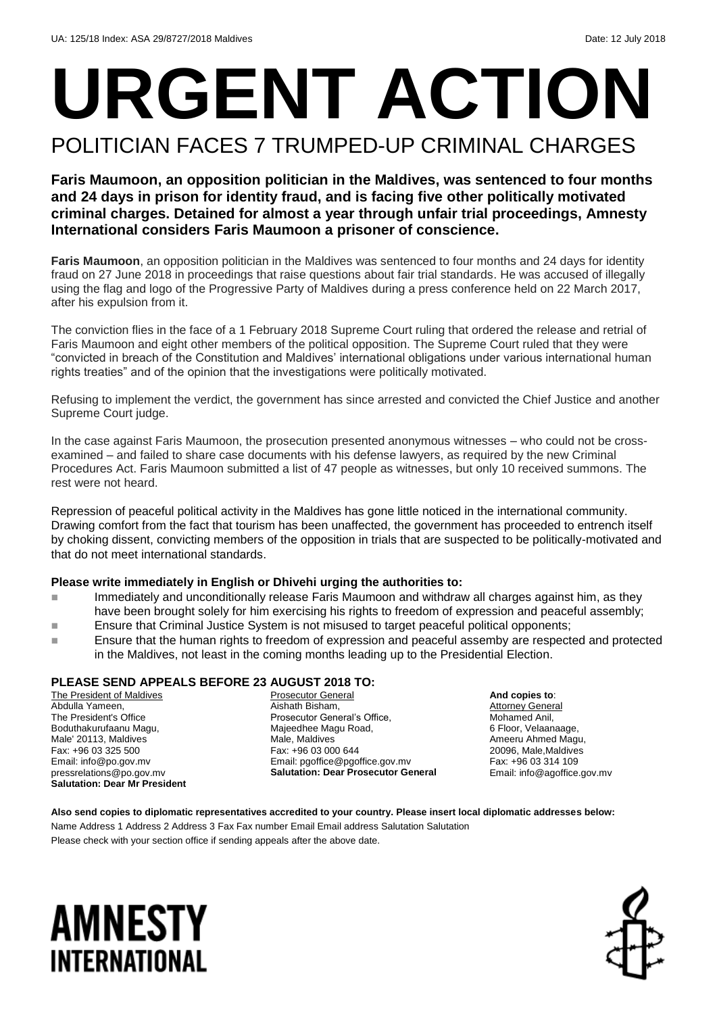## **URGENT ACTION** POLITICIAN FACES 7 TRUMPED-UP CRIMINAL CHARGES

#### **Faris Maumoon, an opposition politician in the Maldives, was sentenced to four months and 24 days in prison for identity fraud, and is facing five other politically motivated criminal charges. Detained for almost a year through unfair trial proceedings, Amnesty International considers Faris Maumoon a prisoner of conscience.**

**Faris Maumoon**, an opposition politician in the Maldives was sentenced to four months and 24 days for identity fraud on 27 June 2018 in proceedings that raise questions about fair trial standards. He was accused of illegally using the flag and logo of the Progressive Party of Maldives during a press conference held on 22 March 2017, after his expulsion from it.

The conviction flies in the face of a 1 February 2018 Supreme Court ruling that ordered the release and retrial of Faris Maumoon and eight other members of the political opposition. The Supreme Court ruled that they were "convicted in breach of the Constitution and Maldives' international obligations under various international human rights treaties" and of the opinion that the investigations were politically motivated.

Refusing to implement the verdict, the government has since arrested and convicted the Chief Justice and another Supreme Court judge.

In the case against Faris Maumoon, the prosecution presented anonymous witnesses – who could not be crossexamined – and failed to share case documents with his defense lawyers, as required by the new Criminal Procedures Act. Faris Maumoon submitted a list of 47 people as witnesses, but only 10 received summons. The rest were not heard.

Repression of peaceful political activity in the Maldives has gone little noticed in the international community. Drawing comfort from the fact that tourism has been unaffected, the government has proceeded to entrench itself by choking dissent, convicting members of the opposition in trials that are suspected to be politically-motivated and that do not meet international standards.

#### **Please write immediately in English or Dhivehi urging the authorities to:**

- Immediately and unconditionally release Faris Maumoon and withdraw all charges against him, as they have been brought solely for him exercising his rights to freedom of expression and peaceful assembly;
- **Ensure that Criminal Justice System is not misused to target peaceful political opponents;**
- **Ensure that the human rights to freedom of expression and peaceful assemby are respected and protected** in the Maldives, not least in the coming months leading up to the Presidential Election.

#### **PLEASE SEND APPEALS BEFORE 23 AUGUST 2018 TO:**

The President of Maldives Abdulla Yameen, The President's Office Boduthakurufaanu Magu, Male' 20113, Maldives Fax: +96 03 325 500 Email: info@po.gov.mv pressrelations@po.gov.mv **Salutation: Dear Mr President**

Prosecutor General Aishath Bisham, Prosecutor General's Office, Majeedhee Magu Road, Male, Maldives Fax: +96 03 000 644 Email: pgoffice@pgoffice.gov.mv **Salutation: Dear Prosecutor General**

**And copies to**: Attorney General Mohamed Anil, 6 Floor, Velaanaage, Ameeru Ahmed Magu, 20096, Male,Maldives Fax: +96 03 314 109 Email: info@agoffice.gov.mv

**Also send copies to diplomatic representatives accredited to your country. Please insert local diplomatic addresses below:** Name Address 1 Address 2 Address 3 Fax Fax number Email Email address Salutation Salutation

Please check with your section office if sending appeals after the above date.